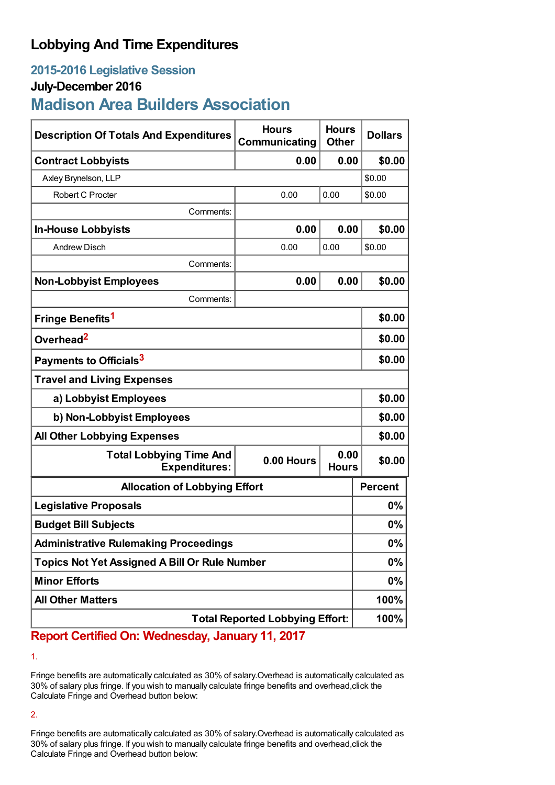## **Lobbying And Time Expenditures**

## **2015-2016 Legislative Session**

### **July-December 2016**

# **Madison Area Builders Association**

| <b>Description Of Totals And Expenditures</b>          | <b>Hours</b><br>Communicating | <b>Hours</b><br><b>Other</b> | <b>Dollars</b> |
|--------------------------------------------------------|-------------------------------|------------------------------|----------------|
| <b>Contract Lobbyists</b>                              | 0.00                          | 0.00                         | \$0.00         |
| Axley Brynelson, LLP                                   |                               |                              | \$0.00         |
| Robert C Procter                                       | 0.00                          | 0.00                         | \$0.00         |
| Comments:                                              |                               |                              |                |
| <b>In-House Lobbyists</b>                              | 0.00                          | 0.00                         | \$0.00         |
| <b>Andrew Disch</b>                                    | 0.00                          | 0.00                         | \$0.00         |
| Comments:                                              |                               |                              |                |
| <b>Non-Lobbyist Employees</b>                          | 0.00                          | 0.00                         | \$0.00         |
| Comments:                                              |                               |                              |                |
| Fringe Benefits <sup>1</sup>                           |                               |                              | \$0.00         |
| Overhead <sup>2</sup>                                  |                               |                              | \$0.00         |
| Payments to Officials <sup>3</sup>                     |                               |                              | \$0.00         |
| <b>Travel and Living Expenses</b>                      |                               |                              |                |
| a) Lobbyist Employees                                  |                               |                              | \$0.00         |
| b) Non-Lobbyist Employees                              |                               |                              | \$0.00         |
| <b>All Other Lobbying Expenses</b>                     |                               |                              | \$0.00         |
| <b>Total Lobbying Time And</b><br><b>Expenditures:</b> | 0.00 Hours                    | 0.00<br><b>Hours</b>         | \$0.00         |
| <b>Allocation of Lobbying Effort</b>                   |                               |                              | <b>Percent</b> |
| <b>Legislative Proposals</b>                           |                               |                              | 0%             |
| <b>Budget Bill Subjects</b>                            |                               |                              | 0%             |
| <b>Administrative Rulemaking Proceedings</b>           |                               |                              | 0%             |
| <b>Topics Not Yet Assigned A Bill Or Rule Number</b>   |                               |                              | 0%             |
| <b>Minor Efforts</b>                                   |                               |                              | 0%             |
| <b>All Other Matters</b>                               |                               |                              | 100%           |
| <b>Total Reported Lobbying Effort:</b>                 |                               |                              | 100%           |

**Report Certified On: Wednesday, January 11, 2017**

1.

Fringe benefits are automatically calculated as 30% of salary.Overhead is automatically calculated as 30% of salary plus fringe. If you wish to manually calculate fringe benefits and overhead,click the Calculate Fringe and Overhead button below:

2.

Fringe benefits are automatically calculated as 30% of salary.Overhead is automatically calculated as 30% of salary plus fringe. If you wish to manually calculate fringe benefits and overhead,click the Calculate Fringe and Overhead button below: